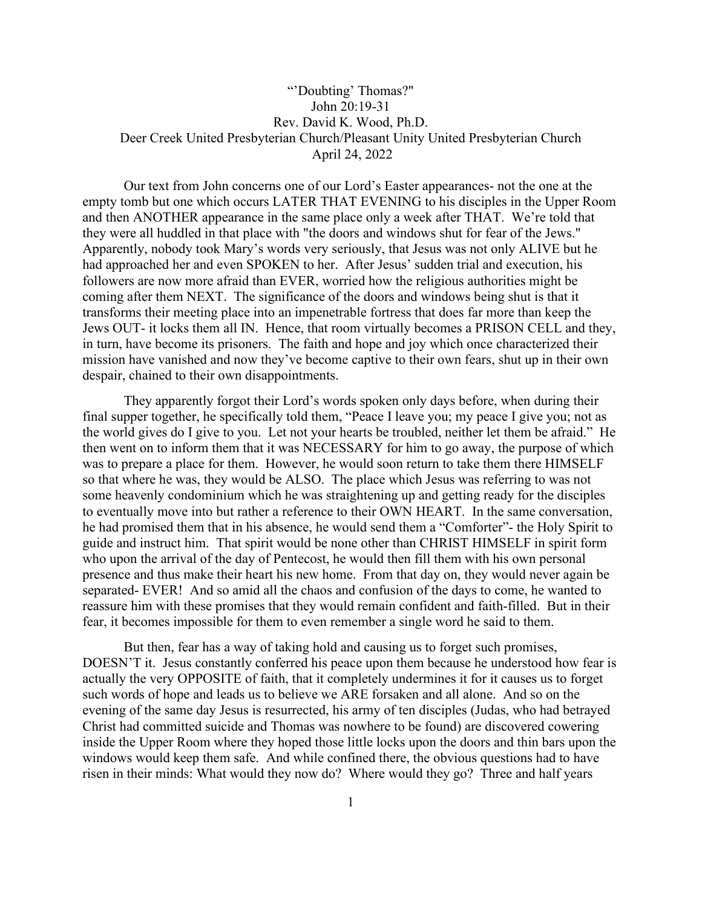## "'Doubting' Thomas?" John 20:19-31 Rev. David K. Wood, Ph.D. Deer Creek United Presbyterian Church/Pleasant Unity United Presbyterian Church April 24, 2022

Our text from John concerns one of our Lord's Easter appearances- not the one at the empty tomb but one which occurs LATER THAT EVENING to his disciples in the Upper Room and then ANOTHER appearance in the same place only a week after THAT. We're told that they were all huddled in that place with "the doors and windows shut for fear of the Jews." Apparently, nobody took Mary's words very seriously, that Jesus was not only ALIVE but he had approached her and even SPOKEN to her. After Jesus' sudden trial and execution, his followers are now more afraid than EVER, worried how the religious authorities might be coming after them NEXT. The significance of the doors and windows being shut is that it transforms their meeting place into an impenetrable fortress that does far more than keep the Jews OUT- it locks them all IN. Hence, that room virtually becomes a PRISON CELL and they, in turn, have become its prisoners. The faith and hope and joy which once characterized their mission have vanished and now they've become captive to their own fears, shut up in their own despair, chained to their own disappointments.

They apparently forgot their Lord's words spoken only days before, when during their final supper together, he specifically told them, "Peace I leave you; my peace I give you; not as the world gives do I give to you. Let not your hearts be troubled, neither let them be afraid." He then went on to inform them that it was NECESSARY for him to go away, the purpose of which was to prepare a place for them. However, he would soon return to take them there HIMSELF so that where he was, they would be ALSO. The place which Jesus was referring to was not some heavenly condominium which he was straightening up and getting ready for the disciples to eventually move into but rather a reference to their OWN HEART. In the same conversation, he had promised them that in his absence, he would send them a "Comforter"- the Holy Spirit to guide and instruct him. That spirit would be none other than CHRIST HIMSELF in spirit form who upon the arrival of the day of Pentecost, he would then fill them with his own personal presence and thus make their heart his new home. From that day on, they would never again be separated- EVER! And so amid all the chaos and confusion of the days to come, he wanted to reassure him with these promises that they would remain confident and faith-filled. But in their fear, it becomes impossible for them to even remember a single word he said to them.

But then, fear has a way of taking hold and causing us to forget such promises, DOESN'T it. Jesus constantly conferred his peace upon them because he understood how fear is actually the very OPPOSITE of faith, that it completely undermines it for it causes us to forget such words of hope and leads us to believe we ARE forsaken and all alone. And so on the evening of the same day Jesus is resurrected, his army of ten disciples (Judas, who had betrayed Christ had committed suicide and Thomas was nowhere to be found) are discovered cowering inside the Upper Room where they hoped those little locks upon the doors and thin bars upon the windows would keep them safe. And while confined there, the obvious questions had to have risen in their minds: What would they now do? Where would they go? Three and half years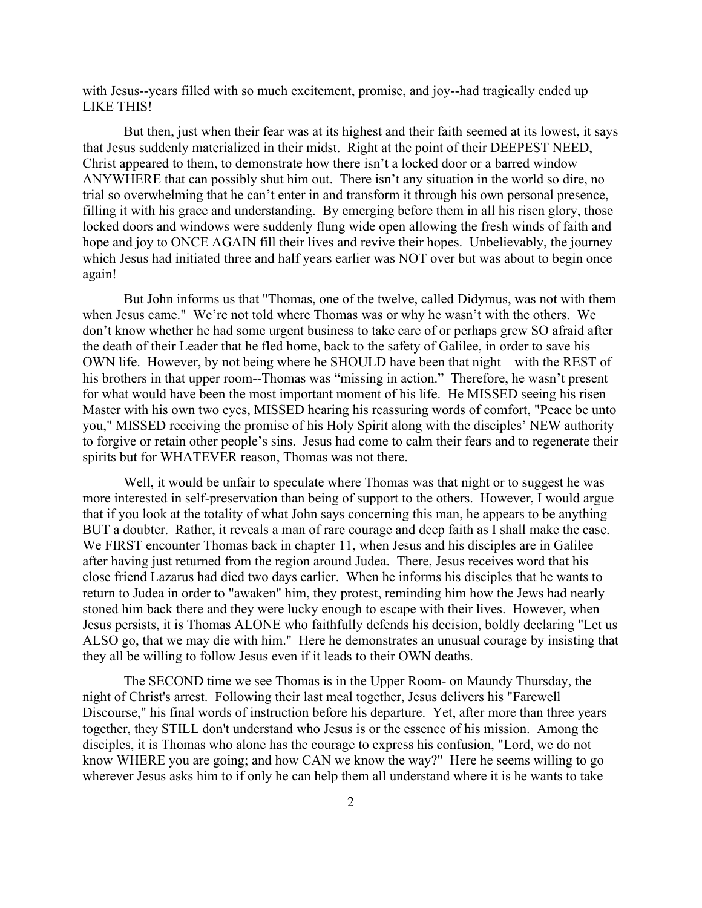with Jesus--years filled with so much excitement, promise, and joy--had tragically ended up LIKE THIS!

But then, just when their fear was at its highest and their faith seemed at its lowest, it says that Jesus suddenly materialized in their midst. Right at the point of their DEEPEST NEED, Christ appeared to them, to demonstrate how there isn't a locked door or a barred window ANYWHERE that can possibly shut him out. There isn't any situation in the world so dire, no trial so overwhelming that he can't enter in and transform it through his own personal presence, filling it with his grace and understanding. By emerging before them in all his risen glory, those locked doors and windows were suddenly flung wide open allowing the fresh winds of faith and hope and joy to ONCE AGAIN fill their lives and revive their hopes. Unbelievably, the journey which Jesus had initiated three and half years earlier was NOT over but was about to begin once again!

But John informs us that "Thomas, one of the twelve, called Didymus, was not with them when Jesus came." We're not told where Thomas was or why he wasn't with the others. We don't know whether he had some urgent business to take care of or perhaps grew SO afraid after the death of their Leader that he fled home, back to the safety of Galilee, in order to save his OWN life. However, by not being where he SHOULD have been that night—with the REST of his brothers in that upper room--Thomas was "missing in action." Therefore, he wasn't present for what would have been the most important moment of his life. He MISSED seeing his risen Master with his own two eyes, MISSED hearing his reassuring words of comfort, "Peace be unto you," MISSED receiving the promise of his Holy Spirit along with the disciples' NEW authority to forgive or retain other people's sins. Jesus had come to calm their fears and to regenerate their spirits but for WHATEVER reason, Thomas was not there.

Well, it would be unfair to speculate where Thomas was that night or to suggest he was more interested in self-preservation than being of support to the others. However, I would argue that if you look at the totality of what John says concerning this man, he appears to be anything BUT a doubter. Rather, it reveals a man of rare courage and deep faith as I shall make the case. We FIRST encounter Thomas back in chapter 11, when Jesus and his disciples are in Galilee after having just returned from the region around Judea. There, Jesus receives word that his close friend Lazarus had died two days earlier. When he informs his disciples that he wants to return to Judea in order to "awaken" him, they protest, reminding him how the Jews had nearly stoned him back there and they were lucky enough to escape with their lives. However, when Jesus persists, it is Thomas ALONE who faithfully defends his decision, boldly declaring "Let us ALSO go, that we may die with him." Here he demonstrates an unusual courage by insisting that they all be willing to follow Jesus even if it leads to their OWN deaths.

The SECOND time we see Thomas is in the Upper Room- on Maundy Thursday, the night of Christ's arrest. Following their last meal together, Jesus delivers his "Farewell Discourse," his final words of instruction before his departure. Yet, after more than three years together, they STILL don't understand who Jesus is or the essence of his mission. Among the disciples, it is Thomas who alone has the courage to express his confusion, "Lord, we do not know WHERE you are going; and how CAN we know the way?" Here he seems willing to go wherever Jesus asks him to if only he can help them all understand where it is he wants to take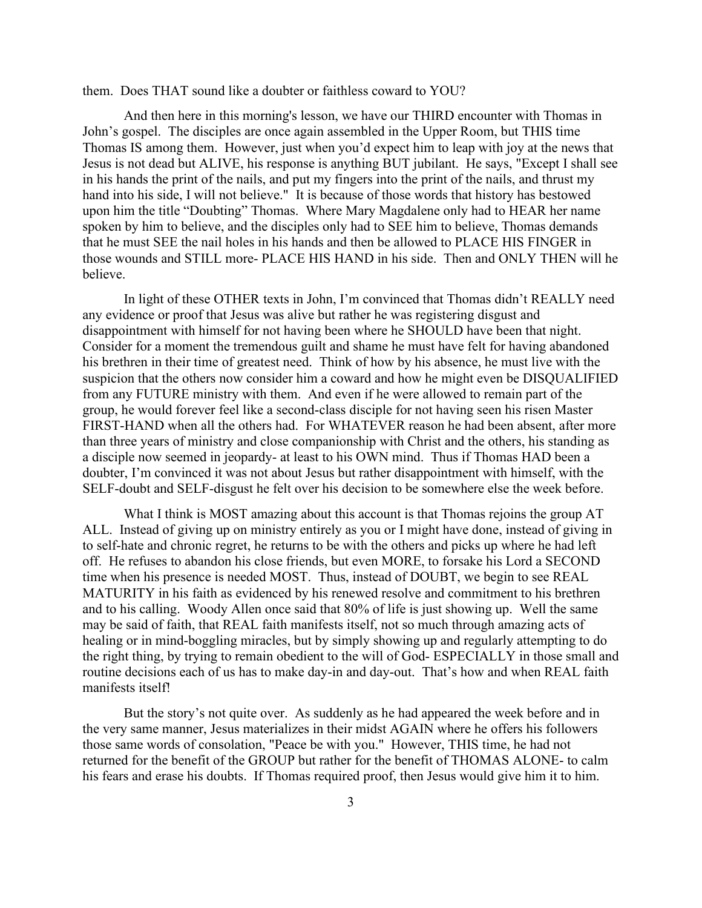them. Does THAT sound like a doubter or faithless coward to YOU?

And then here in this morning's lesson, we have our THIRD encounter with Thomas in John's gospel. The disciples are once again assembled in the Upper Room, but THIS time Thomas IS among them. However, just when you'd expect him to leap with joy at the news that Jesus is not dead but ALIVE, his response is anything BUT jubilant. He says, "Except I shall see in his hands the print of the nails, and put my fingers into the print of the nails, and thrust my hand into his side, I will not believe." It is because of those words that history has bestowed upon him the title "Doubting" Thomas. Where Mary Magdalene only had to HEAR her name spoken by him to believe, and the disciples only had to SEE him to believe, Thomas demands that he must SEE the nail holes in his hands and then be allowed to PLACE HIS FINGER in those wounds and STILL more- PLACE HIS HAND in his side. Then and ONLY THEN will he believe.

In light of these OTHER texts in John, I'm convinced that Thomas didn't REALLY need any evidence or proof that Jesus was alive but rather he was registering disgust and disappointment with himself for not having been where he SHOULD have been that night. Consider for a moment the tremendous guilt and shame he must have felt for having abandoned his brethren in their time of greatest need. Think of how by his absence, he must live with the suspicion that the others now consider him a coward and how he might even be DISQUALIFIED from any FUTURE ministry with them. And even if he were allowed to remain part of the group, he would forever feel like a second-class disciple for not having seen his risen Master FIRST-HAND when all the others had. For WHATEVER reason he had been absent, after more than three years of ministry and close companionship with Christ and the others, his standing as a disciple now seemed in jeopardy- at least to his OWN mind. Thus if Thomas HAD been a doubter, I'm convinced it was not about Jesus but rather disappointment with himself, with the SELF-doubt and SELF-disgust he felt over his decision to be somewhere else the week before.

What I think is MOST amazing about this account is that Thomas rejoins the group AT ALL. Instead of giving up on ministry entirely as you or I might have done, instead of giving in to self-hate and chronic regret, he returns to be with the others and picks up where he had left off. He refuses to abandon his close friends, but even MORE, to forsake his Lord a SECOND time when his presence is needed MOST. Thus, instead of DOUBT, we begin to see REAL MATURITY in his faith as evidenced by his renewed resolve and commitment to his brethren and to his calling. Woody Allen once said that 80% of life is just showing up. Well the same may be said of faith, that REAL faith manifests itself, not so much through amazing acts of healing or in mind-boggling miracles, but by simply showing up and regularly attempting to do the right thing, by trying to remain obedient to the will of God- ESPECIALLY in those small and routine decisions each of us has to make day-in and day-out. That's how and when REAL faith manifests itself!

But the story's not quite over. As suddenly as he had appeared the week before and in the very same manner, Jesus materializes in their midst AGAIN where he offers his followers those same words of consolation, "Peace be with you." However, THIS time, he had not returned for the benefit of the GROUP but rather for the benefit of THOMAS ALONE- to calm his fears and erase his doubts. If Thomas required proof, then Jesus would give him it to him.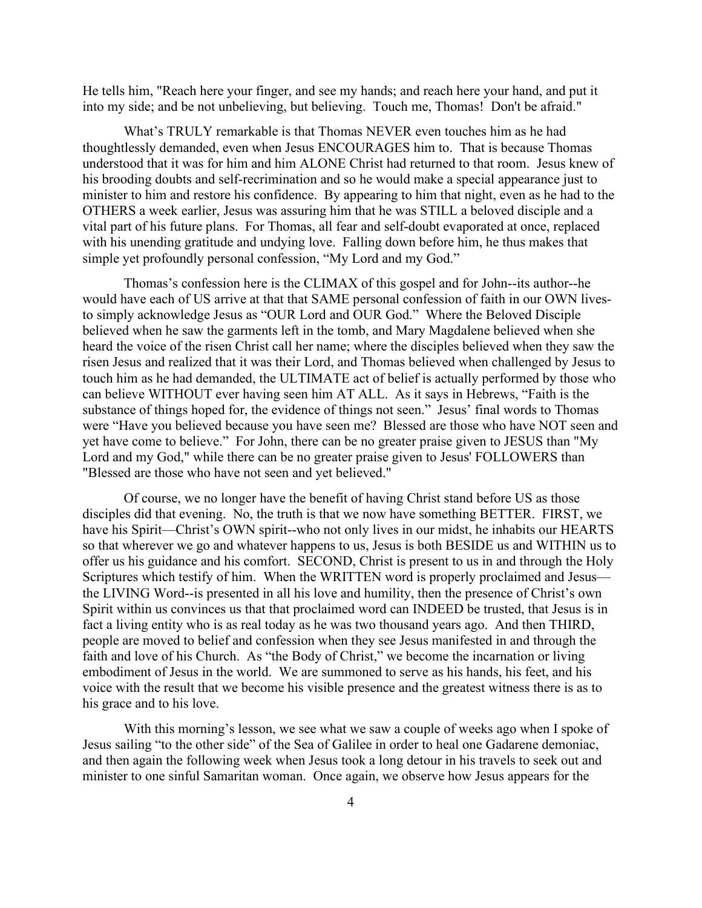He tells him, "Reach here your finger, and see my hands; and reach here your hand, and put it into my side; and be not unbelieving, but believing. Touch me, Thomas! Don't be afraid."

What's TRULY remarkable is that Thomas NEVER even touches him as he had thoughtlessly demanded, even when Jesus ENCOURAGES him to. That is because Thomas understood that it was for him and him ALONE Christ had returned to that room. Jesus knew of his brooding doubts and self-recrimination and so he would make a special appearance just to minister to him and restore his confidence. By appearing to him that night, even as he had to the OTHERS a week earlier, Jesus was assuring him that he was STILL a beloved disciple and a vital part of his future plans. For Thomas, all fear and self-doubt evaporated at once, replaced with his unending gratitude and undying love. Falling down before him, he thus makes that simple yet profoundly personal confession, "My Lord and my God."

Thomas's confession here is the CLIMAX of this gospel and for John--its author--he would have each of US arrive at that that SAME personal confession of faith in our OWN livesto simply acknowledge Jesus as "OUR Lord and OUR God." Where the Beloved Disciple believed when he saw the garments left in the tomb, and Mary Magdalene believed when she heard the voice of the risen Christ call her name; where the disciples believed when they saw the risen Jesus and realized that it was their Lord, and Thomas believed when challenged by Jesus to touch him as he had demanded, the ULTIMATE act of belief is actually performed by those who can believe WITHOUT ever having seen him AT ALL. As it says in Hebrews, "Faith is the substance of things hoped for, the evidence of things not seen." Jesus' final words to Thomas were "Have you believed because you have seen me? Blessed are those who have NOT seen and yet have come to believe." For John, there can be no greater praise given to JESUS than "My Lord and my God," while there can be no greater praise given to Jesus' FOLLOWERS than "Blessed are those who have not seen and yet believed."

Of course, we no longer have the benefit of having Christ stand before US as those disciples did that evening. No, the truth is that we now have something BETTER. FIRST, we have his Spirit—Christ's OWN spirit--who not only lives in our midst, he inhabits our HEARTS so that wherever we go and whatever happens to us, Jesus is both BESIDE us and WITHIN us to offer us his guidance and his comfort. SECOND, Christ is present to us in and through the Holy Scriptures which testify of him. When the WRITTEN word is properly proclaimed and Jesus the LIVING Word--is presented in all his love and humility, then the presence of Christ's own Spirit within us convinces us that that proclaimed word can INDEED be trusted, that Jesus is in fact a living entity who is as real today as he was two thousand years ago. And then THIRD, people are moved to belief and confession when they see Jesus manifested in and through the faith and love of his Church. As "the Body of Christ," we become the incarnation or living embodiment of Jesus in the world. We are summoned to serve as his hands, his feet, and his voice with the result that we become his visible presence and the greatest witness there is as to his grace and to his love.

With this morning's lesson, we see what we saw a couple of weeks ago when I spoke of Jesus sailing "to the other side" of the Sea of Galilee in order to heal one Gadarene demoniac, and then again the following week when Jesus took a long detour in his travels to seek out and minister to one sinful Samaritan woman. Once again, we observe how Jesus appears for the